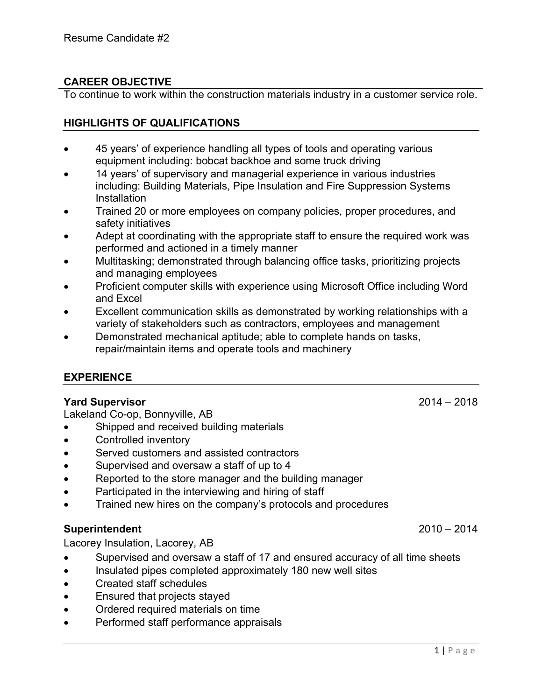# **CAREER OBJECTIVE**

To continue to work within the construction materials industry in a customer service role.

## **HIGHLIGHTS OF QUALIFICATIONS**

- 45 years' of experience handling all types of tools and operating various equipment including: bobcat backhoe and some truck driving
- 14 years' of supervisory and managerial experience in various industries including: Building Materials, Pipe Insulation and Fire Suppression Systems **Installation**
- Trained 20 or more employees on company policies, proper procedures, and safety initiatives
- Adept at coordinating with the appropriate staff to ensure the required work was performed and actioned in a timely manner
- Multitasking; demonstrated through balancing office tasks, prioritizing projects and managing employees
- Proficient computer skills with experience using Microsoft Office including Word and Excel
- Excellent communication skills as demonstrated by working relationships with a variety of stakeholders such as contractors, employees and management
- Demonstrated mechanical aptitude; able to complete hands on tasks, repair/maintain items and operate tools and machinery

### **EXPERIENCE**

#### **Yard Supervisor** 2014 – 2018

Lakeland Co-op, Bonnyville, AB

- Shipped and received building materials
- Controlled inventory
- Served customers and assisted contractors
- Supervised and oversaw a staff of up to 4
- Reported to the store manager and the building manager
- Participated in the interviewing and hiring of staff
- Trained new hires on the company's protocols and procedures

### **Superintendent** 2010 – 2014

Lacorey Insulation, Lacorey, AB

- Supervised and oversaw a staff of 17 and ensured accuracy of all time sheets
- Insulated pipes completed approximately 180 new well sites
- Created staff schedules
- Ensured that projects stayed
- Ordered required materials on time
- Performed staff performance appraisals